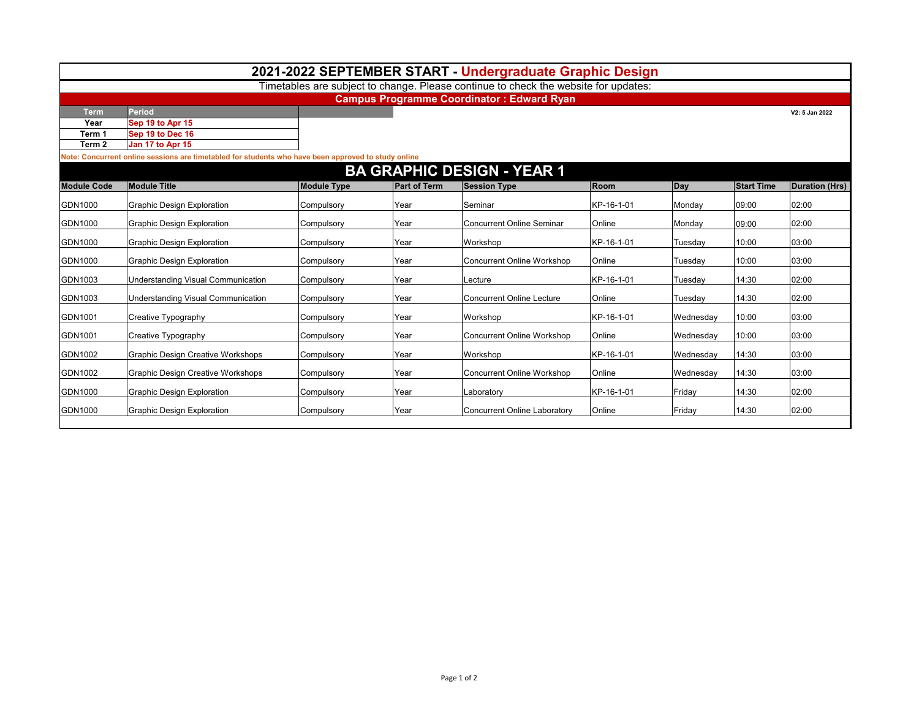|                                   |                                                                                                     |                    |                     | 2021-2022 SEPTEMBER START - Undergraduate Graphic Design                            |            |           |                   |                       |  |  |  |  |  |  |
|-----------------------------------|-----------------------------------------------------------------------------------------------------|--------------------|---------------------|-------------------------------------------------------------------------------------|------------|-----------|-------------------|-----------------------|--|--|--|--|--|--|
|                                   |                                                                                                     |                    |                     | Timetables are subject to change. Please continue to check the website for updates: |            |           |                   |                       |  |  |  |  |  |  |
|                                   | <b>Campus Programme Coordinator: Edward Ryan</b>                                                    |                    |                     |                                                                                     |            |           |                   |                       |  |  |  |  |  |  |
| <b>Term</b>                       | Period                                                                                              |                    |                     |                                                                                     |            |           |                   | V2: 5 Jan 2022        |  |  |  |  |  |  |
| Year                              | Sep 19 to Apr 15                                                                                    |                    |                     |                                                                                     |            |           |                   |                       |  |  |  |  |  |  |
| Term 1                            | Sep 19 to Dec 16                                                                                    |                    |                     |                                                                                     |            |           |                   |                       |  |  |  |  |  |  |
| Term <sub>2</sub>                 | Jan 17 to Apr 15                                                                                    |                    |                     |                                                                                     |            |           |                   |                       |  |  |  |  |  |  |
|                                   | Note: Concurrent online sessions are timetabled for students who have been approved to study online |                    |                     |                                                                                     |            |           |                   |                       |  |  |  |  |  |  |
| <b>BA GRAPHIC DESIGN - YEAR 1</b> |                                                                                                     |                    |                     |                                                                                     |            |           |                   |                       |  |  |  |  |  |  |
| <b>Module Code</b>                | <b>Module Title</b>                                                                                 | <b>Module Type</b> | <b>Part of Term</b> | <b>Session Type</b>                                                                 | Room       | Day       | <b>Start Time</b> | <b>Duration (Hrs)</b> |  |  |  |  |  |  |
| GDN1000                           | <b>Graphic Design Exploration</b>                                                                   | Compulsory         | Year                | Seminar                                                                             | KP-16-1-01 | Monday    | 09:00             | 02:00                 |  |  |  |  |  |  |
| GDN1000                           | <b>Graphic Design Exploration</b>                                                                   | Compulsory         | Year                | <b>Concurrent Online Seminar</b>                                                    | Online     | Monday    | 09:00             | 02:00                 |  |  |  |  |  |  |
| GDN1000                           | <b>Graphic Design Exploration</b>                                                                   | Compulsory         | Year                | Workshop                                                                            | KP-16-1-01 | Tuesday   | 10:00             | 03:00                 |  |  |  |  |  |  |
| GDN1000                           | <b>Graphic Design Exploration</b>                                                                   | Compulsory         | Year                | <b>Concurrent Online Workshop</b>                                                   | Online     | Tuesday   | 10:00             | 03:00                 |  |  |  |  |  |  |
| GDN1003                           | Understanding Visual Communication                                                                  | Compulsory         | Year                | Lecture                                                                             | KP-16-1-01 | Tuesday   | 14:30             | 02:00                 |  |  |  |  |  |  |
| GDN1003                           | Understanding Visual Communication                                                                  | Compulsory         | <b>Year</b>         | <b>Concurrent Online Lecture</b>                                                    | Online     | Tuesday   | 14:30             | 02:00                 |  |  |  |  |  |  |
| GDN1001                           | Creative Typography                                                                                 | Compulsory         | Year                | Workshop                                                                            | KP-16-1-01 | Wednesday | 10:00             | 03:00                 |  |  |  |  |  |  |
| GDN1001                           | Creative Typography                                                                                 | Compulsory         | Year                | <b>Concurrent Online Workshop</b>                                                   | Online     | Wednesday | 10:00             | 03:00                 |  |  |  |  |  |  |
| GDN1002                           | <b>Graphic Design Creative Workshops</b>                                                            | Compulsory         | Year                | Workshop                                                                            | KP-16-1-01 | Wednesday | 14:30             | 03:00                 |  |  |  |  |  |  |
| GDN1002                           | <b>Graphic Design Creative Workshops</b>                                                            | Compulsory         | Year                | <b>Concurrent Online Workshop</b>                                                   | Online     | Wednesdav | 14:30             | 03:00                 |  |  |  |  |  |  |
| GDN1000                           | <b>Graphic Design Exploration</b>                                                                   | Compulsory         | Year                | Laboratory                                                                          | KP-16-1-01 | Friday    | 14:30             | 02:00                 |  |  |  |  |  |  |
| GDN1000                           | <b>Graphic Design Exploration</b>                                                                   | Compulsory         | Year                | <b>Concurrent Online Laboratory</b>                                                 | Online     | Friday    | 14:30             | 02:00                 |  |  |  |  |  |  |